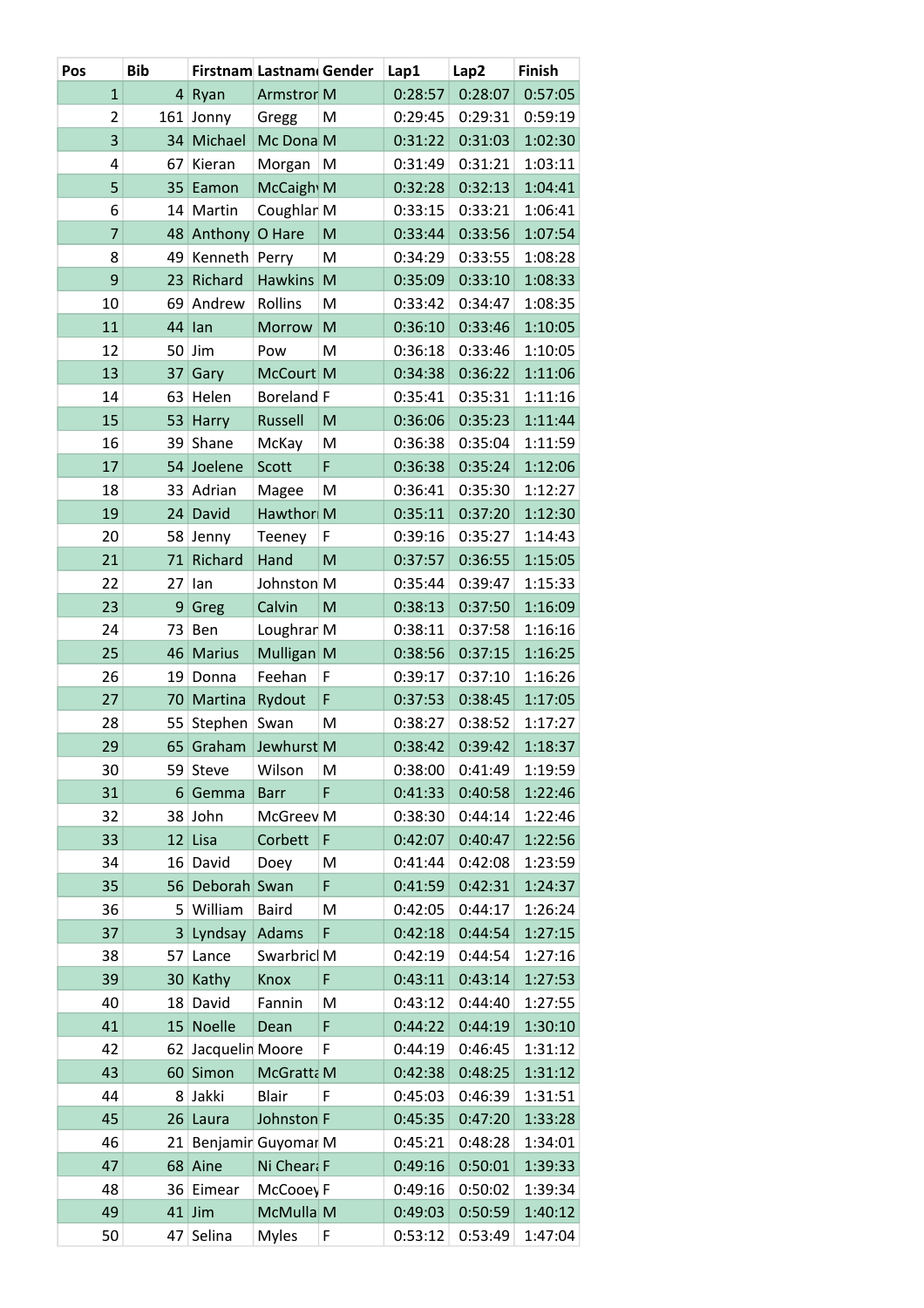| Pos            | <b>Bib</b> |                 | Firstnam Lastnam Gender |   | Lap1    | Lap2    | Finish  |
|----------------|------------|-----------------|-------------------------|---|---------|---------|---------|
| $\mathbf{1}$   | 4          | Ryan            | <b>Armstror M</b>       |   | 0:28:57 | 0:28:07 | 0:57:05 |
| $\overline{2}$ | 161        | Jonny           | Gregg                   | M | 0:29:45 | 0:29:31 | 0:59:19 |
| 3              | 34         | Michael         | Mc Dona M               |   | 0:31:22 | 0:31:03 | 1:02:30 |
| 4              | 67         | Kieran          | Morgan                  | M | 0:31:49 | 0:31:21 | 1:03:11 |
| 5              | 35         | Eamon           | McCaigh M               |   | 0:32:28 | 0:32:13 | 1:04:41 |
| 6              | 14         | Martin          | Coughlan M              |   | 0:33:15 | 0:33:21 | 1:06:41 |
| 7              | 48         | Anthony         | O Hare                  | M | 0:33:44 | 0:33:56 | 1:07:54 |
| 8              | 49         | Kenneth Perry   |                         | M | 0:34:29 | 0:33:55 | 1:08:28 |
| 9              | 23         | Richard         | <b>Hawkins</b>          | M | 0:35:09 | 0:33:10 | 1:08:33 |
| 10             | 69         | Andrew          | Rollins                 | M | 0:33:42 | 0:34:47 | 1:08:35 |
| 11             | 44         | lan             | Morrow                  | M | 0:36:10 | 0:33:46 | 1:10:05 |
| 12             | 50         | Jim             | Pow                     | M | 0:36:18 | 0:33:46 | 1:10:05 |
| 13             | 37         | Gary            | McCourt M               |   | 0:34:38 | 0:36:22 | 1:11:06 |
| 14             | 63         | Helen           | Boreland <sub>F</sub>   |   | 0:35:41 | 0:35:31 | 1:11:16 |
| 15             | 53         | Harry           | Russell                 | M | 0:36:06 | 0:35:23 | 1:11:44 |
| 16             | 39         | Shane           | McKay                   | M | 0:36:38 | 0:35:04 | 1:11:59 |
| 17             | 54         | Joelene         | Scott                   | F | 0:36:38 | 0:35:24 | 1:12:06 |
| 18             | 33         | Adrian          | Magee                   | M | 0:36:41 | 0:35:30 | 1:12:27 |
| 19             | 24         | David           | Hawthorl M              |   | 0:35:11 | 0:37:20 | 1:12:30 |
| 20             | 58         | Jenny           | Teeney                  | F | 0:39:16 | 0:35:27 | 1:14:43 |
| 21             | 71         | Richard         | Hand                    | M | 0:37:57 | 0:36:55 | 1:15:05 |
| 22             | 27         | lan             | Johnston M              |   | 0:35:44 | 0:39:47 | 1:15:33 |
| 23             | 9          | Greg            | Calvin                  | M | 0:38:13 | 0:37:50 | 1:16:09 |
| 24             | 73         | Ben             | Loughran M              |   | 0:38:11 | 0:37:58 | 1:16:16 |
| 25             | 46         | <b>Marius</b>   | Mulligan M              |   | 0:38:56 | 0:37:15 | 1:16:25 |
| 26             | 19         | Donna           | Feehan                  | F | 0:39:17 | 0:37:10 | 1:16:26 |
| 27             | 70         | Martina         | Rydout                  | F | 0:37:53 | 0:38:45 | 1:17:05 |
| 28             | 55         | Stephen         | Swan                    | M | 0:38:27 | 0:38:52 | 1:17:27 |
| 29             | 65         | Graham          | Jewhurst M              |   | 0:38:42 | 0:39:42 | 1:18:37 |
| 30             |            | 59 Steve        | Wilson                  | M | 0:38:00 | 0:41:49 | 1:19:59 |
| 31             | 6          | Gemma           | <b>Barr</b>             | F | 0:41:33 | 0:40:58 | 1:22:46 |
| 32             | 38         | John            | McGreev <sub>M</sub>    |   | 0:38:30 | 0:44:14 | 1:22:46 |
| 33             | 12         | Lisa            | Corbett                 | F | 0:42:07 | 0:40:47 | 1:22:56 |
| 34             | 16         | David           | Doey                    | M | 0:41:44 | 0:42:08 | 1:23:59 |
| 35             | 56         | Deborah Swan    |                         | F | 0:41:59 | 0:42:31 | 1:24:37 |
| 36             | 5          | William         | <b>Baird</b>            | M | 0:42:05 | 0:44:17 | 1:26:24 |
| 37             | 3          | Lyndsay         | Adams                   | F | 0:42:18 | 0:44:54 | 1:27:15 |
| 38             | 57         | Lance           | Swarbricl M             |   | 0:42:19 | 0:44:54 | 1:27:16 |
| 39             | 30         | Kathy           | Knox                    | F | 0:43:11 | 0:43:14 | 1:27:53 |
| 40             | 18         | David           | Fannin                  | M | 0:43:12 | 0:44:40 | 1:27:55 |
| 41             | 15         | <b>Noelle</b>   | Dean                    | F | 0:44:22 | 0:44:19 | 1:30:10 |
| 42             | 62         | Jacquelin Moore |                         | F | 0:44:19 | 0:46:45 | 1:31:12 |
| 43             | 60         | Simon           | McGratta M              |   | 0:42:38 | 0:48:25 | 1:31:12 |
| 44             | 8          | Jakki           | Blair                   | F | 0:45:03 | 0:46:39 | 1:31:51 |
| 45             | 26         | Laura           | Johnston F              |   | 0:45:35 | 0:47:20 | 1:33:28 |
| 46             | 21         |                 | Benjamir Guyomar M      |   | 0:45:21 | 0:48:28 | 1:34:01 |
| 47             | 68         | Aine            | Ni Cheara F             |   | 0:49:16 | 0:50:01 | 1:39:33 |
| 48             | 36         | Eimear          | McCooey F               |   | 0:49:16 | 0:50:02 | 1:39:34 |
| 49             | 41         | Jim             | McMulla M               |   | 0:49:03 | 0:50:59 | 1:40:12 |
| 50             | 47         | Selina          | <b>Myles</b>            | F | 0:53:12 | 0:53:49 | 1:47:04 |